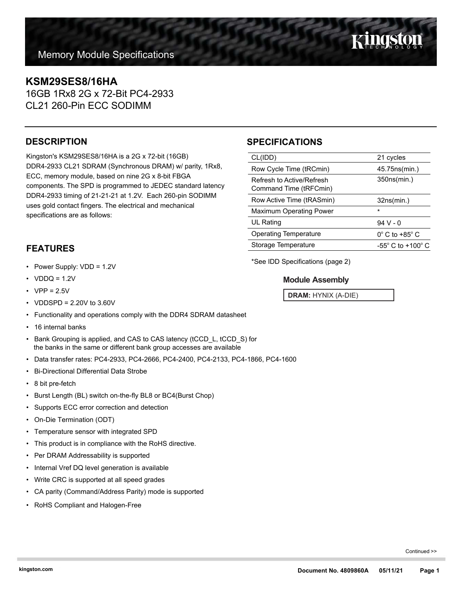## **KSM29SES8/16HA**

16GB 1Rx8 2G x 72-Bit PC4-2933 CL21 260-Pin ECC SODIMM

## **DESCRIPTION**

Kingston's KSM29SES8/16HA is a 2G x 72-bit (16GB) DDR4-2933 CL21 SDRAM (Synchronous DRAM) w/ parity, 1Rx8, ECC, memory module, based on nine 2G x 8-bit FBGA components. The SPD is programmed to JEDEC standard latency DDR4-2933 timing of 21-21-21 at 1.2V. Each 260-pin SODIMM uses gold contact fingers. The electrical and mechanical specifications are as follows:

## **SPECIFICATIONS**

| CL(IDD)                                             | 21 cycles                           |
|-----------------------------------------------------|-------------------------------------|
| Row Cycle Time (tRCmin)                             | 45.75ns(min.)                       |
| Refresh to Active/Refresh<br>Command Time (tRFCmin) | 350ns(min.)                         |
| Row Active Time (tRASmin)                           | 32ns(min.)                          |
| <b>Maximum Operating Power</b>                      | $\star$                             |
| UL Rating                                           | $94V - 0$                           |
| <b>Operating Temperature</b>                        | $0^{\circ}$ C to +85 $^{\circ}$ C   |
| Storage Temperature                                 | $-55^{\circ}$ C to $+100^{\circ}$ C |
|                                                     |                                     |

**FEATURES**

- Power Supply: VDD = 1.2V
- $VDDQ = 1.2V$
- $VPP = 2.5V$
- VDDSPD = 2.20V to 3.60V
- Functionality and operations comply with the DDR4 SDRAM datasheet
- 16 internal banks
- Bank Grouping is applied, and CAS to CAS latency (tCCD\_L, tCCD\_S) for the banks in the same or different bank group accesses are available
- Data transfer rates: PC4-2933, PC4-2666, PC4-2400, PC4-2133, PC4-1866, PC4-1600
- Bi-Directional Differential Data Strobe
- 8 bit pre-fetch
- Burst Length (BL) switch on-the-fly BL8 or BC4(Burst Chop)
- Supports ECC error correction and detection
- On-Die Termination (ODT)
- Temperature sensor with integrated SPD
- This product is in compliance with the RoHS directive.
- Per DRAM Addressability is supported
- Internal Vref DQ level generation is available
- Write CRC is supported at all speed grades
- CA parity (Command/Address Parity) mode is supported
- RoHS Compliant and Halogen-Free

\*See IDD Specifications (page 2)

### **Module Assembly**

**DRAM:** HYNIX (A-DIE)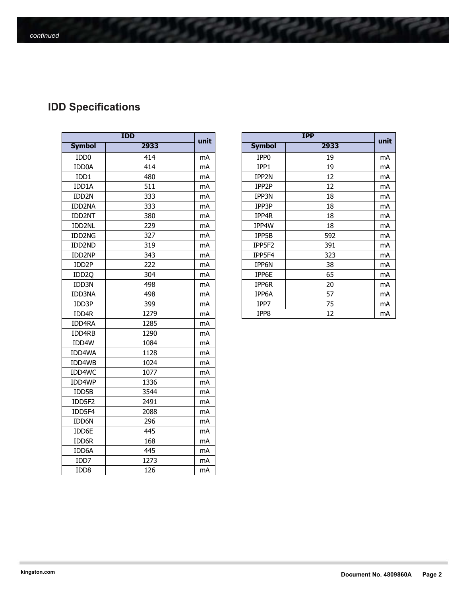# **IDD Specifications**

| <b>IDD</b>        |      |      |  |  |
|-------------------|------|------|--|--|
| <b>Symbol</b>     | 2933 | unit |  |  |
| IDD <sub>0</sub>  | 414  | mA   |  |  |
| IDD0A             | 414  | mA   |  |  |
| IDD1              | 480  | mA   |  |  |
| IDD1A             | 511  | mA   |  |  |
| IDD <sub>2N</sub> | 333  | mA   |  |  |
| IDD2NA            | 333  | mA   |  |  |
| IDD2NT            | 380  | mA   |  |  |
| IDD2NL            | 229  | mA   |  |  |
| IDD2NG            | 327  | mA   |  |  |
| IDD2ND            | 319  | mA   |  |  |
| IDD2NP            | 343  | mA   |  |  |
| IDD <sub>2P</sub> | 222  | mA   |  |  |
| IDD <sub>20</sub> | 304  | mA   |  |  |
| IDD3N             | 498  | mA   |  |  |
| <b>IDD3NA</b>     | 498  | mA   |  |  |
| IDD3P             | 399  | mA   |  |  |
| IDD4R             | 1279 | mA   |  |  |
| IDD4RA            | 1285 | mA   |  |  |
| IDD4RB            | 1290 | mA   |  |  |
| IDD4W             | 1084 | mA   |  |  |
| IDD4WA            | 1128 | mA   |  |  |
| IDD4WB            | 1024 | mA   |  |  |
| IDD4WC            | 1077 | mA   |  |  |
| IDD4WP            | 1336 | mA   |  |  |
| IDD5B             | 3544 | mA   |  |  |
| IDD5F2            | 2491 | mA   |  |  |
| IDD5F4            | 2088 | mA   |  |  |
| IDD6N             | 296  | mA   |  |  |
| IDD6E             | 445  | mA   |  |  |
| IDD6R             | 168  | mA   |  |  |
| IDD6A             | 445  | mA   |  |  |
| IDD7              | 1273 | mA   |  |  |
| IDD8              | 126  | mA   |  |  |

| <b>IDD</b>         |      | unit | <b>IPP</b> |                  | unit |    |
|--------------------|------|------|------------|------------------|------|----|
| <b>Symbol</b>      | 2933 |      |            | <b>Symbol</b>    | 2933 |    |
| IDD <sub>0</sub>   | 414  | mA   |            | IPP <sub>0</sub> | 19   | mA |
| IDD0A              | 414  | mA   |            | IPP1             | 19   | mA |
| IDD1               | 480  | mA   |            | IPP2N            | 12   | mA |
| IDD1A              | 511  | mA   |            | IPP2P            | 12   | mA |
| IDD <sub>2N</sub>  | 333  | mA   |            | IPP3N            | 18   | mA |
| IDD2NA             | 333  | mA   |            | IPP3P            | 18   | mA |
| IDD2NT             | 380  | mA   |            | IPP4R            | 18   | mA |
| IDD2NL             | 229  | mA   |            | IPP4W            | 18   | mA |
| IDD2NG             | 327  | mA   |            | IPP5B            | 592  | mA |
| IDD2ND             | 319  | mA   |            | IPP5F2           | 391  | mA |
| IDD2NP             | 343  | mA   |            | IPP5F4           | 323  | mA |
| IDD <sub>2</sub> P | 222  | mA   |            | IPP6N            | 38   | mA |
| IDD <sub>2Q</sub>  | 304  | mA   |            | IPP6E            | 65   | mA |
| IDD3N              | 498  | mA   |            | IPP6R            | 20   | mA |
| IDD3NA             | 498  | mA   |            | IPP6A            | 57   | mA |
| IDD3P              | 399  | mA   |            | IPP7             | 75   | mA |
| IDD4R              | 1279 | mA   |            | IPP8             | 12   | mA |